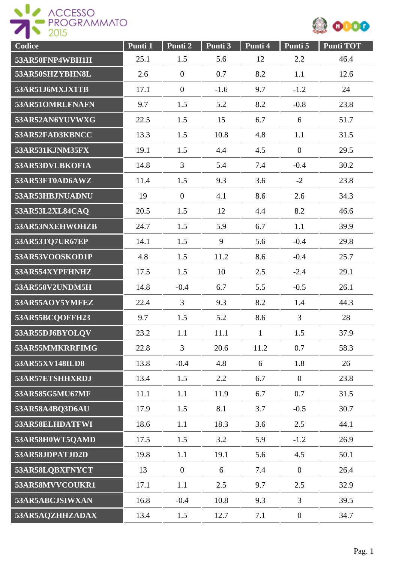



| Codice          | Punti 1 | Punti 2        | Punti 3 | Punti 4      | Punti 5          | <b>Punti TOT</b> |
|-----------------|---------|----------------|---------|--------------|------------------|------------------|
| 53AR50FNP4WBH1H | 25.1    | 1.5            | 5.6     | 12           | 2.2              | 46.4             |
| 53AR50SHZYBHN8L | 2.6     | $\mathbf{0}$   | 0.7     | 8.2          | 1.1              | 12.6             |
| 53AR51J6MXJX1TB | 17.1    | $\overline{0}$ | $-1.6$  | 9.7          | $-1.2$           | 24               |
| 53AR51OMRLFNAFN | 9.7     | 1.5            | 5.2     | 8.2          | $-0.8$           | 23.8             |
| 53AR52AN6YUVWXG | 22.5    | 1.5            | 15      | 6.7          | 6                | 51.7             |
| 53AR52FAD3KBNCC | 13.3    | 1.5            | 10.8    | 4.8          | 1.1              | 31.5             |
| 53AR531KJNM35FX | 19.1    | 1.5            | 4.4     | 4.5          | $\mathbf{0}$     | 29.5             |
| 53AR53DVLBKOFIA | 14.8    | $\overline{3}$ | 5.4     | 7.4          | $-0.4$           | 30.2             |
| 53AR53FT0AD6AWZ | 11.4    | 1.5            | 9.3     | 3.6          | $-2$             | 23.8             |
| 53AR53HBJNUADNU | 19      | $\mathbf{0}$   | 4.1     | 8.6          | 2.6              | 34.3             |
| 53AR53L2XL84CAQ | 20.5    | 1.5            | 12      | 4.4          | 8.2              | 46.6             |
| 53AR53NXEHWOHZB | 24.7    | 1.5            | 5.9     | 6.7          | 1.1              | 39.9             |
| 53AR53TQ7UR67EP | 14.1    | 1.5            | 9       | 5.6          | $-0.4$           | 29.8             |
| 53AR53VOOSKOD1P | 4.8     | 1.5            | 11.2    | 8.6          | $-0.4$           | 25.7             |
| 53AR554XYPFHNHZ | 17.5    | 1.5            | 10      | 2.5          | $-2.4$           | 29.1             |
| 53AR558V2UNDM5H | 14.8    | $-0.4$         | 6.7     | 5.5          | $-0.5$           | 26.1             |
| 53AR55AOY5YMFEZ | 22.4    | $\overline{3}$ | 9.3     | 8.2          | 1.4              | 44.3             |
| 53AR55BCQOFFH23 | 9.7     | 1.5            | 5.2     | 8.6          | 3                | 28               |
| 53AR55DJ6BYOLQV | 23.2    | 1.1            | 11.1    | $\mathbf{1}$ | 1.5              | 37.9             |
| 53AR55MMKRRFIMG | 22.8    | $\overline{3}$ | 20.6    | 11.2         | 0.7              | 58.3             |
| 53AR55XV148ILD8 | 13.8    | $-0.4$         | 4.8     | 6            | 1.8              | 26               |
| 53AR57ETSHHXRDJ | 13.4    | 1.5            | 2.2     | 6.7          | $\overline{0}$   | 23.8             |
| 53AR585G5MU67MF | 11.1    | 1.1            | 11.9    | 6.7          | 0.7              | 31.5             |
| 53AR58A4BQ3D6AU | 17.9    | 1.5            | 8.1     | 3.7          | $-0.5$           | 30.7             |
| 53AR58ELHDATFWI | 18.6    | 1.1            | 18.3    | 3.6          | 2.5              | 44.1             |
| 53AR58H0WT5QAMD | 17.5    | 1.5            | 3.2     | 5.9          | $-1.2$           | 26.9             |
| 53AR58JDPATJD2D | 19.8    | 1.1            | 19.1    | 5.6          | 4.5              | 50.1             |
| 53AR58LQBXFNYCT | 13      | $\overline{0}$ | 6       | 7.4          | $\overline{0}$   | 26.4             |
| 53AR58MVVCOUKR1 | 17.1    | 1.1            | 2.5     | 9.7          | 2.5              | 32.9             |
| 53AR5ABCJSIWXAN | 16.8    | $-0.4$         | 10.8    | 9.3          | $\overline{3}$   | 39.5             |
| 53AR5AQZHHZADAX | 13.4    | 1.5            | 12.7    | 7.1          | $\boldsymbol{0}$ | 34.7             |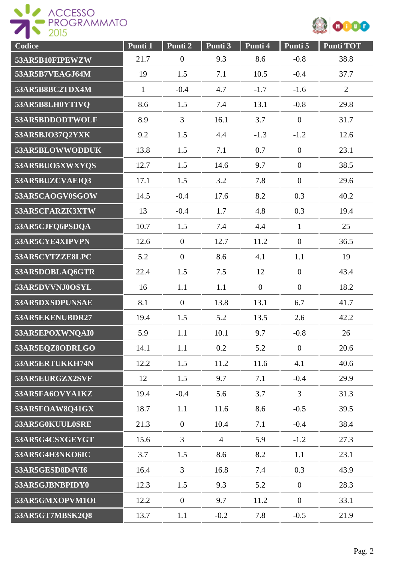



| Codice          | Punti 1      | Punti 2          | Punti 3        | Punti 4          | Punti 5          | <b>Punti TOT</b> |
|-----------------|--------------|------------------|----------------|------------------|------------------|------------------|
| 53AR5B10FIPEWZW | 21.7         | $\boldsymbol{0}$ | 9.3            | 8.6              | $-0.8$           | 38.8             |
| 53AR5B7VEAGJ64M | 19           | 1.5              | 7.1            | 10.5             | $-0.4$           | 37.7             |
| 53AR5B8BC2TDX4M | $\mathbf{1}$ | $-0.4$           | 4.7            | $-1.7$           | $-1.6$           | $\overline{2}$   |
| 53AR5B8LH0YTIVQ | 8.6          | 1.5              | 7.4            | 13.1             | $-0.8$           | 29.8             |
| 53AR5BDDODTWOLF | 8.9          | $\overline{3}$   | 16.1           | 3.7              | $\boldsymbol{0}$ | 31.7             |
| 53AR5BJO37Q2YXK | 9.2          | 1.5              | 4.4            | $-1.3$           | $-1.2$           | 12.6             |
| 53AR5BLOWWODDUK | 13.8         | 1.5              | 7.1            | 0.7              | $\mathbf{0}$     | 23.1             |
| 53AR5BUO5XWXYQS | 12.7         | 1.5              | 14.6           | 9.7              | $\mathbf{0}$     | 38.5             |
| 53AR5BUZCVAEIQ3 | 17.1         | 1.5              | 3.2            | 7.8              | $\mathbf{0}$     | 29.6             |
| 53AR5CAOGV0SGOW | 14.5         | $-0.4$           | 17.6           | 8.2              | 0.3              | 40.2             |
| 53AR5CFARZK3XTW | 13           | $-0.4$           | 1.7            | 4.8              | 0.3              | 19.4             |
| 53AR5CJFQ6PSDQA | 10.7         | 1.5              | 7.4            | 4.4              | $\mathbf{1}$     | 25               |
| 53AR5CYE4XIPVPN | 12.6         | $\overline{0}$   | 12.7           | 11.2             | $\mathbf{0}$     | 36.5             |
| 53AR5CYTZZE8LPC | 5.2          | $\overline{0}$   | 8.6            | 4.1              | 1.1              | 19               |
| 53AR5DOBLAQ6GTR | 22.4         | 1.5              | 7.5            | 12               | $\mathbf{0}$     | 43.4             |
| 53AR5DVVNJ0OSYL | 16           | 1.1              | 1.1            | $\boldsymbol{0}$ | $\mathbf{0}$     | 18.2             |
| 53AR5DXSDPUNSAE | 8.1          | $\mathbf{0}$     | 13.8           | 13.1             | 6.7              | 41.7             |
| 53AR5EKENUBDR27 | 19.4         | 1.5              | 5.2            | 13.5             | 2.6              | 42.2             |
| 53AR5EPOXWNQAI0 | 5.9          | 1.1              | 10.1           | 9.7              | $-0.8$           | 26               |
| 53AR5EQZ8ODRLGO | 14.1         | 1.1              | 0.2            | 5.2              | $\mathbf{0}$     | 20.6             |
| 53AR5ERTUKKH74N | 12.2         | 1.5              | 11.2           | 11.6             | 4.1              | 40.6             |
| 53AR5EURGZX2SVF | 12           | 1.5              | 9.7            | 7.1              | $-0.4$           | 29.9             |
| 53AR5FA6OVYA1KZ | 19.4         | $-0.4$           | 5.6            | 3.7              | $\overline{3}$   | 31.3             |
| 53AR5FOAW8Q41GX | 18.7         | 1.1              | 11.6           | 8.6              | $-0.5$           | 39.5             |
| 53AR5G0KUUL0SRE | 21.3         | $\mathbf{0}$     | 10.4           | 7.1              | $-0.4$           | 38.4             |
| 53AR5G4CSXGEYGT | 15.6         | $\overline{3}$   | $\overline{4}$ | 5.9              | $-1.2$           | 27.3             |
| 53AR5G4H3NKO6IC | 3.7          | 1.5              | 8.6            | 8.2              | 1.1              | 23.1             |
| 53AR5GESD8D4VI6 | 16.4         | $\overline{3}$   | 16.8           | 7.4              | 0.3              | 43.9             |
| 53AR5GJBNBPIDY0 | 12.3         | 1.5              | 9.3            | 5.2              | $\overline{0}$   | 28.3             |
| 53AR5GMXOPVM1OI | 12.2         | $\overline{0}$   | 9.7            | 11.2             | $\boldsymbol{0}$ | 33.1             |
| 53AR5GT7MBSK2Q8 | 13.7         | 1.1              | $-0.2$         | 7.8              | $-0.5$           | 21.9             |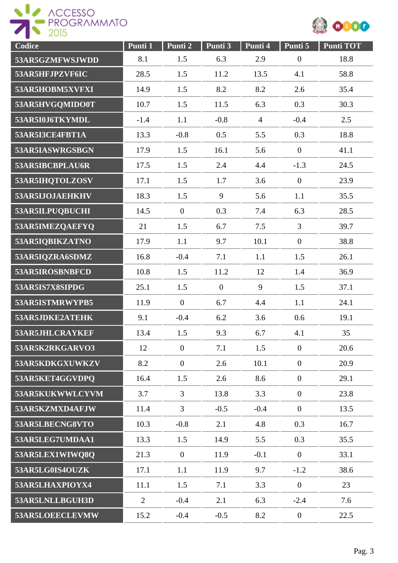



| Codice          | Punti 1        | Punti 2        | Punti 3        | Punti 4        | Punti 5          | <b>Punti TOT</b> |
|-----------------|----------------|----------------|----------------|----------------|------------------|------------------|
| 53AR5GZMFWSJWDD | 8.1            | 1.5            | 6.3            | 2.9            | $\boldsymbol{0}$ | 18.8             |
| 53AR5HFJPZVF6IC | 28.5           | 1.5            | 11.2           | 13.5           | 4.1              | 58.8             |
| 53AR5HOBM5XVFXI | 14.9           | 1.5            | 8.2            | 8.2            | 2.6              | 35.4             |
| 53AR5HVGQMIDO0T | 10.7           | 1.5            | 11.5           | 6.3            | 0.3              | 30.3             |
| 53AR5I0J6TKYMDL | $-1.4$         | 1.1            | $-0.8$         | $\overline{4}$ | $-0.4$           | 2.5              |
| 53AR5I3CE4FBT1A | 13.3           | $-0.8$         | 0.5            | 5.5            | 0.3              | 18.8             |
| 53AR5IASWRGSBGN | 17.9           | 1.5            | 16.1           | 5.6            | $\boldsymbol{0}$ | 41.1             |
| 53AR5IBCBPLAU6R | 17.5           | 1.5            | 2.4            | 4.4            | $-1.3$           | 24.5             |
| 53AR5IHQTOLZOSV | 17.1           | 1.5            | 1.7            | 3.6            | $\boldsymbol{0}$ | 23.9             |
| 53AR5IJOJAEHKHV | 18.3           | 1.5            | 9              | 5.6            | 1.1              | 35.5             |
| 53AR5ILPUQBUCHI | 14.5           | $\overline{0}$ | 0.3            | 7.4            | 6.3              | 28.5             |
| 53AR5IMEZQAEFYQ | 21             | 1.5            | 6.7            | 7.5            | 3                | 39.7             |
| 53AR5IQBIKZATNO | 17.9           | 1.1            | 9.7            | 10.1           | $\boldsymbol{0}$ | 38.8             |
| 53AR5IQZRA6SDMZ | 16.8           | $-0.4$         | 7.1            | 1.1            | 1.5              | 26.1             |
| 53AR5IROSBNBFCD | 10.8           | 1.5            | 11.2           | 12             | 1.4              | 36.9             |
| 53AR5IS7X8SIPDG | 25.1           | 1.5            | $\overline{0}$ | 9              | 1.5              | 37.1             |
| 53AR5ISTMRWYPB5 | 11.9           | $\overline{0}$ | 6.7            | 4.4            | 1.1              | 24.1             |
| 53AR5JDKE2ATEHK | 9.1            | $-0.4$         | 6.2            | 3.6            | 0.6              | 19.1             |
| 53AR5JHLCRAYKEF | 13.4           | 1.5            | 9.3            | 6.7            | 4.1              | 35               |
| 53AR5K2RKGARVO3 | 12             | $\overline{0}$ | 7.1            | 1.5            | $\boldsymbol{0}$ | 20.6             |
| 53AR5KDKGXUWKZV | 8.2            | $\overline{0}$ | 2.6            | 10.1           | $\boldsymbol{0}$ | 20.9             |
| 53AR5KET4GGVDPQ | 16.4           | 1.5            | 2.6            | 8.6            | $\overline{0}$   | 29.1             |
| 53AR5KUKWWLCYVM | 3.7            | 3              | 13.8           | 3.3            | $\boldsymbol{0}$ | 23.8             |
| 53AR5KZMXD4AFJW | 11.4           | $\overline{3}$ | $-0.5$         | $-0.4$         | $\overline{0}$   | 13.5             |
| 53AR5LBECNG8VTO | 10.3           | $-0.8$         | 2.1            | 4.8            | 0.3              | 16.7             |
| 53AR5LEG7UMDAA1 | 13.3           | 1.5            | 14.9           | 5.5            | 0.3              | 35.5             |
| 53AR5LEX1WIWQ8Q | 21.3           | $\mathbf{0}$   | 11.9           | $-0.1$         | $\overline{0}$   | 33.1             |
| 53AR5LG0IS4OUZK | 17.1           | 1.1            | 11.9           | 9.7            | $-1.2$           | 38.6             |
| 53AR5LHAXPIOYX4 | 11.1           | 1.5            | 7.1            | 3.3            | $\overline{0}$   | 23               |
| 53AR5LNLLBGUH3D | $\overline{2}$ | $-0.4$         | 2.1            | 6.3            | $-2.4$           | 7.6              |
| 53AR5LOEECLEVMW | 15.2           | $-0.4$         | $-0.5$         | 8.2            | $\overline{0}$   | 22.5             |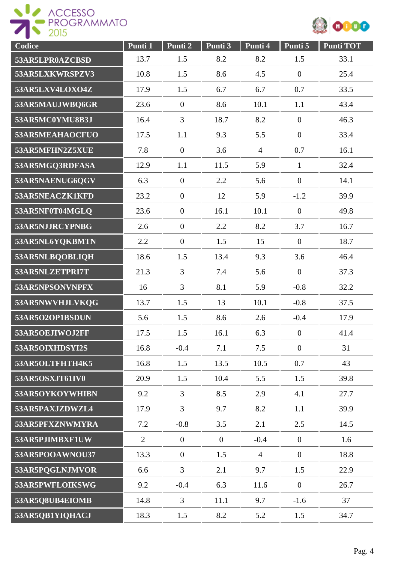



| Codice          | Punti 1 | Punti 2        | Punti 3      | Punti 4        | Punti 5          | <b>Punti TOT</b> |
|-----------------|---------|----------------|--------------|----------------|------------------|------------------|
| 53AR5LPR0AZCBSD | 13.7    | 1.5            | 8.2          | 8.2            | 1.5              | 33.1             |
| 53AR5LXKWRSPZV3 | 10.8    | 1.5            | 8.6          | 4.5            | $\mathbf{0}$     | 25.4             |
| 53AR5LXV4LOXO4Z | 17.9    | 1.5            | 6.7          | 6.7            | 0.7              | 33.5             |
| 53AR5MAUJWBQ6GR | 23.6    | $\overline{0}$ | 8.6          | 10.1           | 1.1              | 43.4             |
| 53AR5MC0YMU8B3J | 16.4    | $\overline{3}$ | 18.7         | 8.2            | $\boldsymbol{0}$ | 46.3             |
| 53AR5MEAHAOCFUO | 17.5    | 1.1            | 9.3          | 5.5            | $\mathbf{0}$     | 33.4             |
| 53AR5MFHN2Z5XUE | 7.8     | $\mathbf{0}$   | 3.6          | $\overline{4}$ | 0.7              | 16.1             |
| 53AR5MGQ3RDFASA | 12.9    | 1.1            | 11.5         | 5.9            | $\mathbf{1}$     | 32.4             |
| 53AR5NAENUG6QGV | 6.3     | $\overline{0}$ | 2.2          | 5.6            | $\mathbf{0}$     | 14.1             |
| 53AR5NEACZK1KFD | 23.2    | $\mathbf{0}$   | 12           | 5.9            | $-1.2$           | 39.9             |
| 53AR5NF0T04MGLQ | 23.6    | $\mathbf{0}$   | 16.1         | 10.1           | $\mathbf{0}$     | 49.8             |
| 53AR5NJJRCYPNBG | 2.6     | $\mathbf{0}$   | 2.2          | 8.2            | 3.7              | 16.7             |
| 53AR5NL6YQKBMTN | 2.2     | $\overline{0}$ | 1.5          | 15             | $\mathbf{0}$     | 18.7             |
| 53AR5NLBQOBLIQH | 18.6    | 1.5            | 13.4         | 9.3            | 3.6              | 46.4             |
| 53AR5NLZETPRI7T | 21.3    | $\overline{3}$ | 7.4          | 5.6            | $\mathbf{0}$     | 37.3             |
| 53AR5NPSONVNPFX | 16      | $\overline{3}$ | 8.1          | 5.9            | $-0.8$           | 32.2             |
| 53AR5NWVHJLVKQG | 13.7    | 1.5            | 13           | 10.1           | $-0.8$           | 37.5             |
| 53AR5O2OP1BSDUN | 5.6     | 1.5            | 8.6          | 2.6            | $-0.4$           | 17.9             |
| 53AR5OEJIWOJ2FF | 17.5    | 1.5            | 16.1         | 6.3            | $\mathbf{0}$     | 41.4             |
| 53AR5OIXHDSYI2S | 16.8    | $-0.4$         | 7.1          | 7.5            | $\mathbf{0}$     | 31               |
| 53AR5OLTFHTH4K5 | 16.8    | 1.5            | 13.5         | 10.5           | 0.7              | 43               |
| 53AR5OSXJT61IV0 | 20.9    | 1.5            | 10.4         | 5.5            | 1.5              | 39.8             |
| 53AR5OYKOYWHIBN | 9.2     | $\overline{3}$ | 8.5          | 2.9            | 4.1              | 27.7             |
| 53AR5PAXJZDWZL4 | 17.9    | $\overline{3}$ | 9.7          | 8.2            | 1.1              | 39.9             |
| 53AR5PFXZNWMYRA | 7.2     | $-0.8$         | 3.5          | 2.1            | 2.5              | 14.5             |
| 53AR5PJIMBXF1UW | 2       | $\overline{0}$ | $\mathbf{0}$ | $-0.4$         | $\overline{0}$   | 1.6              |
| 53AR5POOAWNOU37 | 13.3    | $\overline{0}$ | 1.5          | $\overline{4}$ | $\overline{0}$   | 18.8             |
| 53AR5PQGLNJMVOR | 6.6     | $\overline{3}$ | 2.1          | 9.7            | 1.5              | 22.9             |
| 53AR5PWFLOIKSWG | 9.2     | $-0.4$         | 6.3          | 11.6           | $\overline{0}$   | 26.7             |
| 53AR5Q8UB4EIOMB | 14.8    | 3              | 11.1         | 9.7            | $-1.6$           | 37               |
| 53AR5QB1YIQHACJ | 18.3    | 1.5            | 8.2          | 5.2            | 1.5              | 34.7             |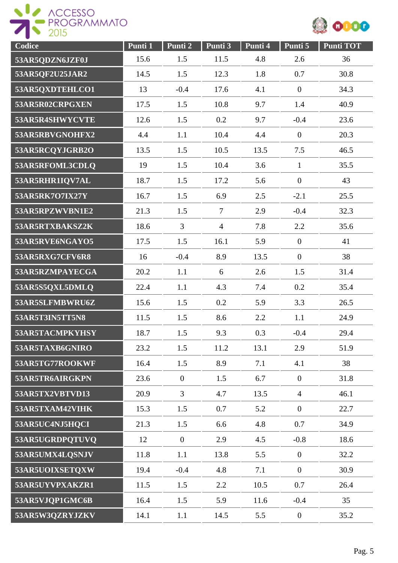



| Codice          | Punti 1 | Punti 2          | Punti 3        | Punti 4 | Punti 5          | <b>Punti TOT</b> |
|-----------------|---------|------------------|----------------|---------|------------------|------------------|
| 53AR5QDZN6JZF0J | 15.6    | 1.5              | 11.5           | 4.8     | 2.6              | 36               |
| 53AR5QF2U25JAR2 | 14.5    | 1.5              | 12.3           | 1.8     | 0.7              | 30.8             |
| 53AR5QXDTEHLCO1 | 13      | $-0.4$           | 17.6           | 4.1     | $\overline{0}$   | 34.3             |
| 53AR5R02CRPGXEN | 17.5    | 1.5              | 10.8           | 9.7     | 1.4              | 40.9             |
| 53AR5R4SHWYCVTE | 12.6    | 1.5              | 0.2            | 9.7     | $-0.4$           | 23.6             |
| 53AR5RBVGNOHFX2 | 4.4     | 1.1              | 10.4           | 4.4     | $\boldsymbol{0}$ | 20.3             |
| 53AR5RCQYJGRB2O | 13.5    | 1.5              | 10.5           | 13.5    | 7.5              | 46.5             |
| 53AR5RFOML3CDLQ | 19      | 1.5              | 10.4           | 3.6     | $\mathbf{1}$     | 35.5             |
| 53AR5RHR1IQV7AL | 18.7    | 1.5              | 17.2           | 5.6     | $\boldsymbol{0}$ | 43               |
| 53AR5RK7O7IX27Y | 16.7    | 1.5              | 6.9            | 2.5     | $-2.1$           | 25.5             |
| 53AR5RPZWVBN1E2 | 21.3    | 1.5              | $\overline{7}$ | 2.9     | $-0.4$           | 32.3             |
| 53AR5RTXBAKSZ2K | 18.6    | $\overline{3}$   | $\overline{4}$ | 7.8     | 2.2              | 35.6             |
| 53AR5RVE6NGAYO5 | 17.5    | 1.5              | 16.1           | 5.9     | $\overline{0}$   | 41               |
| 53AR5RXG7CFV6R8 | 16      | $-0.4$           | 8.9            | 13.5    | $\overline{0}$   | 38               |
| 53AR5RZMPAYECGA | 20.2    | 1.1              | 6              | 2.6     | 1.5              | 31.4             |
| 53AR5S5QXL5DMLQ | 22.4    | 1.1              | 4.3            | 7.4     | 0.2              | 35.4             |
| 53AR5SLFMBWRU6Z | 15.6    | 1.5              | 0.2            | 5.9     | 3.3              | 26.5             |
| 53AR5T3IN5TT5N8 | 11.5    | 1.5              | 8.6            | 2.2     | 1.1              | 24.9             |
| 53AR5TACMPKYHSY | 18.7    | 1.5              | 9.3            | 0.3     | $-0.4$           | 29.4             |
| 53AR5TAXB6GNIRO | 23.2    | 1.5              | 11.2           | 13.1    | 2.9              | 51.9             |
| 53AR5TG77ROOKWF | 16.4    | 1.5              | 8.9            | 7.1     | 4.1              | 38               |
| 53AR5TR6AIRGKPN | 23.6    | $\boldsymbol{0}$ | 1.5            | 6.7     | $\overline{0}$   | 31.8             |
| 53AR5TX2VBTVD13 | 20.9    | $\overline{3}$   | 4.7            | 13.5    | $\overline{4}$   | 46.1             |
| 53AR5TXAM42VIHK | 15.3    | 1.5              | 0.7            | 5.2     | $\overline{0}$   | 22.7             |
| 53AR5UC4NJ5HQCI | 21.3    | 1.5              | 6.6            | 4.8     | 0.7              | 34.9             |
| 53AR5UGRDPQTUVQ | 12      | $\overline{0}$   | 2.9            | 4.5     | $-0.8$           | 18.6             |
| 53AR5UMX4LQSNJV | 11.8    | 1.1              | 13.8           | 5.5     | $\overline{0}$   | 32.2             |
| 53AR5UOIXSETQXW | 19.4    | $-0.4$           | 4.8            | 7.1     | $\overline{0}$   | 30.9             |
| 53AR5UYVPXAKZR1 | 11.5    | 1.5              | 2.2            | 10.5    | 0.7              | 26.4             |
| 53AR5VJQP1GMC6B | 16.4    | 1.5              | 5.9            | 11.6    | $-0.4$           | 35               |
| 53AR5W3QZRYJZKV | 14.1    | 1.1              | 14.5           | 5.5     | $\boldsymbol{0}$ | 35.2             |